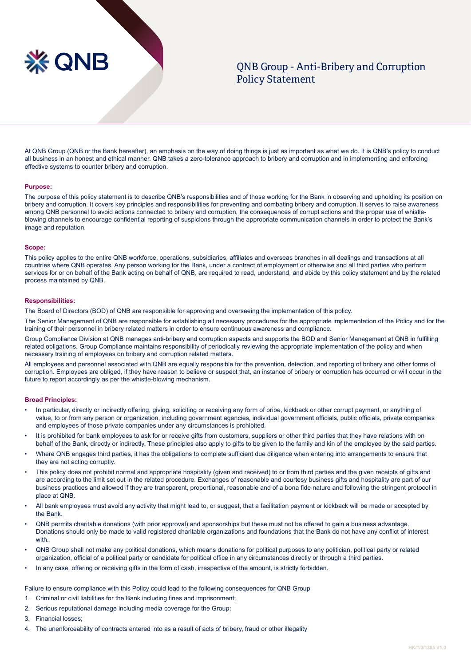

# QNB Group - Anti-Bribery and Corruption Policy Statement

At QNB Group (QNB or the Bank hereafter), an emphasis on the way of doing things is just as important as what we do. It is QNB's policy to conduct all business in an honest and ethical manner. QNB takes a zero-tolerance approach to bribery and corruption and in implementing and enforcing effective systems to counter bribery and corruption.

## **Purpose:**

The purpose of this policy statement is to describe QNB's responsibilities and of those working for the Bank in observing and upholding its position on bribery and corruption. It covers key principles and responsibilities for preventing and combating bribery and corruption. It serves to raise awareness among QNB personnel to avoid actions connected to bribery and corruption, the consequences of corrupt actions and the proper use of whistleblowing channels to encourage confidential reporting of suspicions through the appropriate communication channels in order to protect the Bank's image and reputation.

#### **Scope:**

This policy applies to the entire QNB workforce, operations, subsidiaries, affiliates and overseas branches in all dealings and transactions at all countries where QNB operates. Any person working for the Bank, under a contract of employment or otherwise and all third parties who perform services for or on behalf of the Bank acting on behalf of QNB, are required to read, understand, and abide by this policy statement and by the related process maintained by QNB.

## **Responsibilities:**

The Board of Directors (BOD) of QNB are responsible for approving and overseeing the implementation of this policy.

The Senior Management of QNB are responsible for establishing all necessary procedures for the appropriate implementation of the Policy and for the training of their personnel in bribery related matters in order to ensure continuous awareness and compliance.

Group Compliance Division at QNB manages anti-bribery and corruption aspects and supports the BOD and Senior Management at QNB in fulfilling related obligations. Group Compliance maintains responsibility of periodically reviewing the appropriate implementation of the policy and when necessary training of employees on bribery and corruption related matters.

All employees and personnel associated with QNB are equally responsible for the prevention, detection, and reporting of bribery and other forms of corruption. Employees are obliged, if they have reason to believe or suspect that, an instance of bribery or corruption has occurred or will occur in the future to report accordingly as per the whistle-blowing mechanism.

#### **Broad Principles:**

- In particular, directly or indirectly offering, giving, soliciting or receiving any form of bribe, kickback or other corrupt payment, or anything of value, to or from any person or organization, including government agencies, individual government officials, public officials, private companies and employees of those private companies under any circumstances is prohibited.
- It is prohibited for bank employees to ask for or receive gifts from customers, suppliers or other third parties that they have relations with on behalf of the Bank, directly or indirectly. These principles also apply to gifts to be given to the family and kin of the employee by the said parties.
- Where QNB engages third parties, it has the obligations to complete sufficient due diligence when entering into arrangements to ensure that they are not acting corruptly.
- This policy does not prohibit normal and appropriate hospitality (given and received) to or from third parties and the given receipts of gifts and are according to the limit set out in the related procedure. Exchanges of reasonable and courtesy business gifts and hospitality are part of our business practices and allowed if they are transparent, proportional, reasonable and of a bona fide nature and following the stringent protocol in place at QNB.
- All bank employees must avoid any activity that might lead to, or suggest, that a facilitation payment or kickback will be made or accepted by the Bank.
- QNB permits charitable donations (with prior approval) and sponsorships but these must not be offered to gain a business advantage. Donations should only be made to valid registered charitable organizations and foundations that the Bank do not have any conflict of interest with.
- QNB Group shall not make any political donations, which means donations for political purposes to any politician, political party or related organization, official of a political party or candidate for political office in any circumstances directly or through a third parties.
- In any case, offering or receiving gifts in the form of cash, irrespective of the amount, is strictly forbidden.

Failure to ensure compliance with this Policy could lead to the following consequences for QNB Group

- 1. Criminal or civil liabilities for the Bank including fines and imprisonment;
- 2. Serious reputational damage including media coverage for the Group;
- 3. Financial losses;
- 4. The unenforceability of contracts entered into as a result of acts of bribery, fraud or other illegality